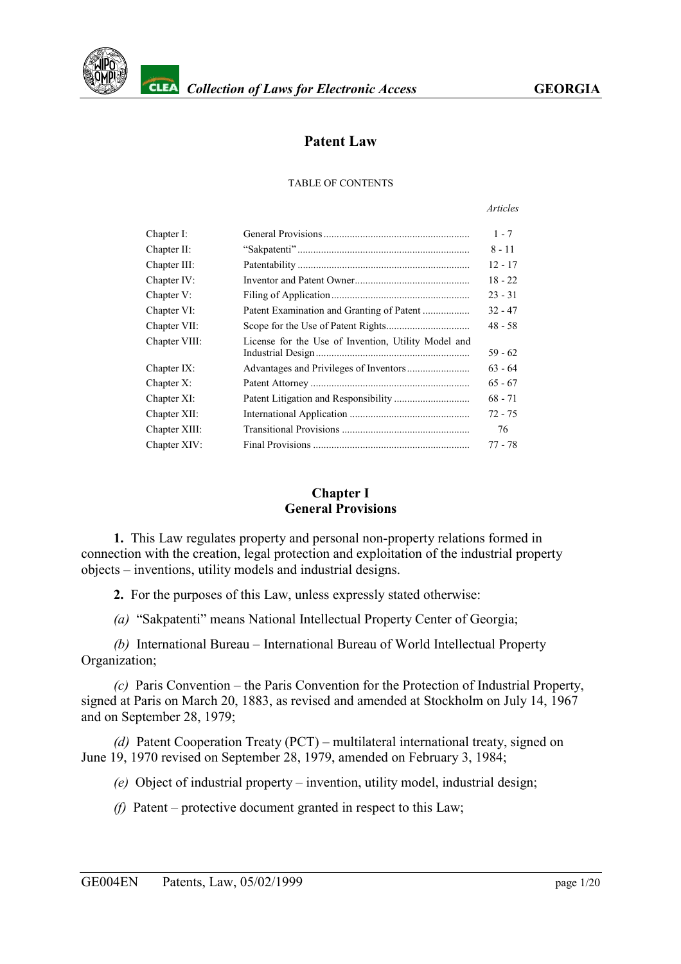

# **Patent Law**

#### TABLE OF CONTENTS

#### *Articles*

| Chapter I:    |                                                     | $1 - 7$   |
|---------------|-----------------------------------------------------|-----------|
| Chapter II:   |                                                     | $8 - 11$  |
| Chapter III:  |                                                     | $12 - 17$ |
| Chapter IV:   |                                                     | $18 - 22$ |
| Chapter V:    |                                                     | $23 - 31$ |
| Chapter VI:   |                                                     | $32 - 47$ |
| Chapter VII:  |                                                     | $48 - 58$ |
| Chapter VIII: | License for the Use of Invention, Utility Model and | $59 - 62$ |
| Chapter IX:   |                                                     | $63 - 64$ |
| Chapter X:    |                                                     | $65 - 67$ |
| Chapter XI:   |                                                     | $68 - 71$ |
| Chapter XII:  |                                                     | $72 - 75$ |
| Chapter XIII: |                                                     | 76        |
| Chapter XIV:  |                                                     | 77 - 78   |

#### **Chapter I General Provisions**

<span id="page-0-0"></span>**1.** This Law regulates property and personal non-property relations formed in connection with the creation, legal protection and exploitation of the industrial property objects – inventions, utility models and industrial designs.

**2.** For the purposes of this Law, unless expressly stated otherwise:

*(a)* "Sakpatenti" means National Intellectual Property Center of Georgia;

*(b)* International Bureau – International Bureau of World Intellectual Property Organization;

*(c)* Paris Convention – the Paris Convention for the Protection of Industrial Property, signed at Paris on March 20, 1883, as revised and amended at Stockholm on July 14, 1967 and on September 28, 1979;

*(d)* Patent Cooperation Treaty (PCT) – multilateral international treaty, signed on June 19, 1970 revised on September 28, 1979, amended on February 3, 1984;

*(e)* Object of industrial property – invention, utility model, industrial design;

*(f)* Patent – protective document granted in respect to this Law;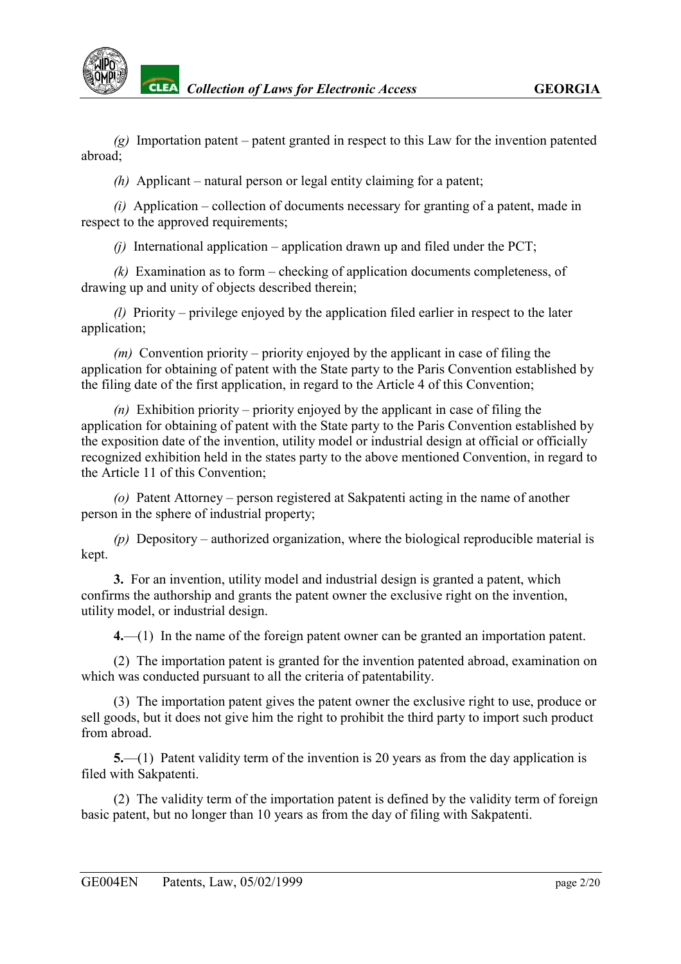

*(g)* Importation patent – patent granted in respect to this Law for the invention patented abroad;

*(h)* Applicant – natural person or legal entity claiming for a patent;

*(i)* Application – collection of documents necessary for granting of a patent, made in respect to the approved requirements;

*(j)* International application – application drawn up and filed under the PCT;

*(k)* Examination as to form – checking of application documents completeness, of drawing up and unity of objects described therein;

*(l)* Priority – privilege enjoyed by the application filed earlier in respect to the later application;

*(m)* Convention priority – priority enjoyed by the applicant in case of filing the application for obtaining of patent with the State party to the Paris Convention established by the filing date of the first application, in regard to the Article 4 of this Convention;

*(n)* Exhibition priority – priority enjoyed by the applicant in case of filing the application for obtaining of patent with the State party to the Paris Convention established by the exposition date of the invention, utility model or industrial design at official or officially recognized exhibition held in the states party to the above mentioned Convention, in regard to the Article 11 of this Convention;

*(o)* Patent Attorney – person registered at Sakpatenti acting in the name of another person in the sphere of industrial property;

*(p)* Depository – authorized organization, where the biological reproducible material is kept.

**3.** For an invention, utility model and industrial design is granted a patent, which confirms the authorship and grants the patent owner the exclusive right on the invention, utility model, or industrial design.

**4.**—(1) In the name of the foreign patent owner can be granted an importation patent.

(2) The importation patent is granted for the invention patented abroad, examination on which was conducted pursuant to all the criteria of patentability.

(3) The importation patent gives the patent owner the exclusive right to use, produce or sell goods, but it does not give him the right to prohibit the third party to import such product from abroad.

**5.**—(1) Patent validity term of the invention is 20 years as from the day application is filed with Sakpatenti.

(2) The validity term of the importation patent is defined by the validity term of foreign basic patent, but no longer than 10 years as from the day of filing with Sakpatenti.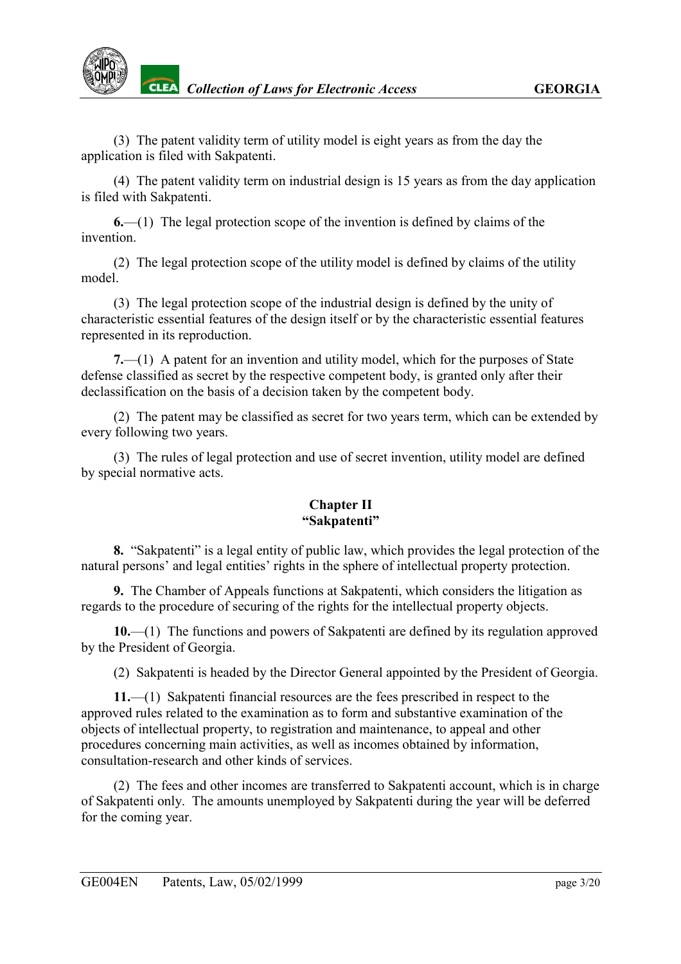

(3) The patent validity term of utility model is eight years as from the day the application is filed with Sakpatenti.

(4) The patent validity term on industrial design is 15 years as from the day application is filed with Sakpatenti.

**6.**—(1) The legal protection scope of the invention is defined by claims of the invention.

(2) The legal protection scope of the utility model is defined by claims of the utility model.

(3) The legal protection scope of the industrial design is defined by the unity of characteristic essential features of the design itself or by the characteristic essential features represented in its reproduction.

**7.**—(1) A patent for an invention and utility model, which for the purposes of State defense classified as secret by the respective competent body, is granted only after their declassification on the basis of a decision taken by the competent body.

(2) The patent may be classified as secret for two years term, which can be extended by every following two years.

(3) The rules of legal protection and use of secret invention, utility model are defined by special normative acts.

## **Chapter II "Sakpatenti"**

<span id="page-2-0"></span>**8.** "Sakpatenti" is a legal entity of public law, which provides the legal protection of the natural persons' and legal entities' rights in the sphere of intellectual property protection.

**9.** The Chamber of Appeals functions at Sakpatenti, which considers the litigation as regards to the procedure of securing of the rights for the intellectual property objects.

**10.**—(1) The functions and powers of Sakpatenti are defined by its regulation approved by the President of Georgia.

(2) Sakpatenti is headed by the Director General appointed by the President of Georgia.

**11.**—(1) Sakpatenti financial resources are the fees prescribed in respect to the approved rules related to the examination as to form and substantive examination of the objects of intellectual property, to registration and maintenance, to appeal and other procedures concerning main activities, as well as incomes obtained by information, consultation-research and other kinds of services.

(2) The fees and other incomes are transferred to Sakpatenti account, which is in charge of Sakpatenti only. The amounts unemployed by Sakpatenti during the year will be deferred for the coming year.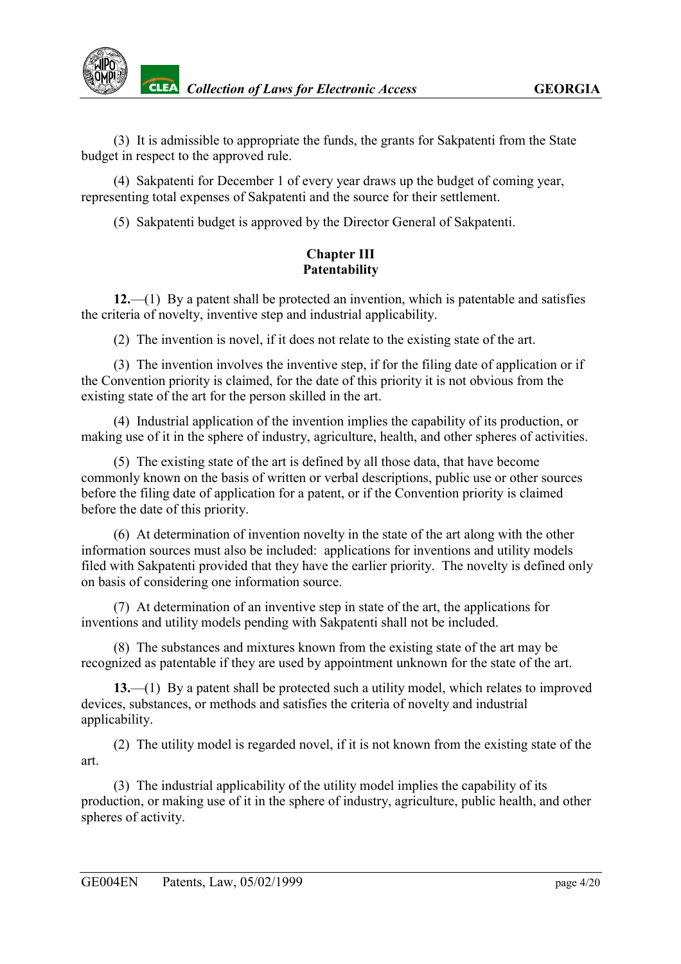

(3) It is admissible to appropriate the funds, the grants for Sakpatenti from the State budget in respect to the approved rule.

(4) Sakpatenti for December 1 of every year draws up the budget of coming year, representing total expenses of Sakpatenti and the source for their settlement.

(5) Sakpatenti budget is approved by the Director General of Sakpatenti.

## **Chapter III Patentability**

<span id="page-3-0"></span>**12.**—(1) By a patent shall be protected an invention, which is patentable and satisfies the criteria of novelty, inventive step and industrial applicability.

(2) The invention is novel, if it does not relate to the existing state of the art.

(3) The invention involves the inventive step, if for the filing date of application or if the Convention priority is claimed, for the date of this priority it is not obvious from the existing state of the art for the person skilled in the art.

(4) Industrial application of the invention implies the capability of its production, or making use of it in the sphere of industry, agriculture, health, and other spheres of activities.

(5) The existing state of the art is defined by all those data, that have become commonly known on the basis of written or verbal descriptions, public use or other sources before the filing date of application for a patent, or if the Convention priority is claimed before the date of this priority.

(6) At determination of invention novelty in the state of the art along with the other information sources must also be included: applications for inventions and utility models filed with Sakpatenti provided that they have the earlier priority. The novelty is defined only on basis of considering one information source.

(7) At determination of an inventive step in state of the art, the applications for inventions and utility models pending with Sakpatenti shall not be included.

(8) The substances and mixtures known from the existing state of the art may be recognized as patentable if they are used by appointment unknown for the state of the art.

**13.**—(1) By a patent shall be protected such a utility model, which relates to improved devices, substances, or methods and satisfies the criteria of novelty and industrial applicability.

(2) The utility model is regarded novel, if it is not known from the existing state of the art.

(3) The industrial applicability of the utility model implies the capability of its production, or making use of it in the sphere of industry, agriculture, public health, and other spheres of activity.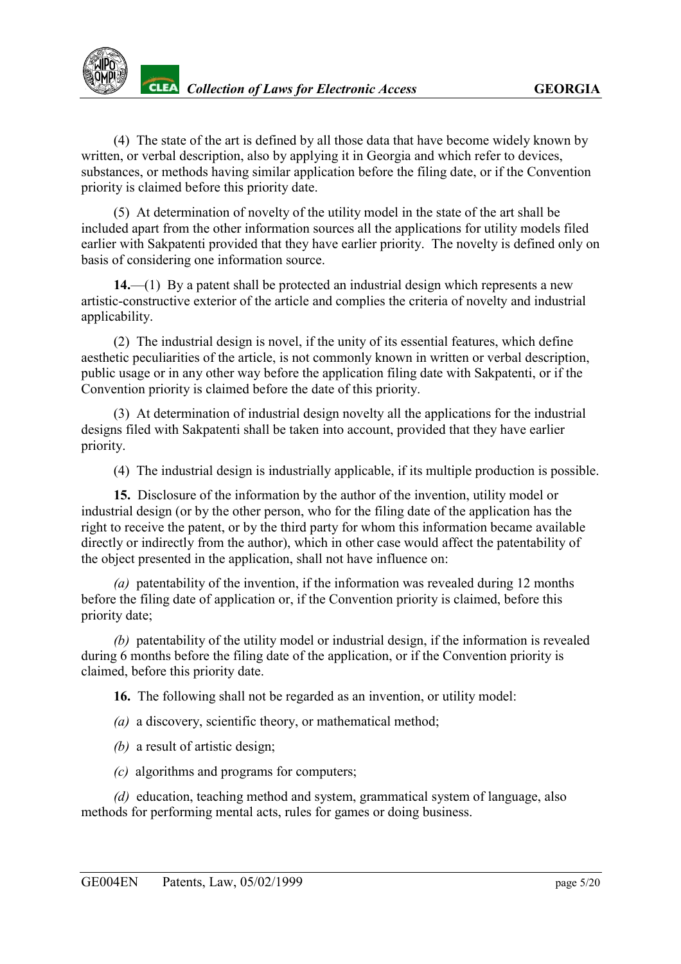(4) The state of the art is defined by all those data that have become widely known by written, or verbal description, also by applying it in Georgia and which refer to devices, substances, or methods having similar application before the filing date, or if the Convention priority is claimed before this priority date.

(5) At determination of novelty of the utility model in the state of the art shall be included apart from the other information sources all the applications for utility models filed earlier with Sakpatenti provided that they have earlier priority. The novelty is defined only on basis of considering one information source.

**14.**—(1) By a patent shall be protected an industrial design which represents a new artistic-constructive exterior of the article and complies the criteria of novelty and industrial applicability.

(2) The industrial design is novel, if the unity of its essential features, which define aesthetic peculiarities of the article, is not commonly known in written or verbal description, public usage or in any other way before the application filing date with Sakpatenti, or if the Convention priority is claimed before the date of this priority.

(3) At determination of industrial design novelty all the applications for the industrial designs filed with Sakpatenti shall be taken into account, provided that they have earlier priority.

(4) The industrial design is industrially applicable, if its multiple production is possible.

**15.** Disclosure of the information by the author of the invention, utility model or industrial design (or by the other person, who for the filing date of the application has the right to receive the patent, or by the third party for whom this information became available directly or indirectly from the author), which in other case would affect the patentability of the object presented in the application, shall not have influence on:

*(a)* patentability of the invention, if the information was revealed during 12 months before the filing date of application or, if the Convention priority is claimed, before this priority date;

*(b)* patentability of the utility model or industrial design, if the information is revealed during 6 months before the filing date of the application, or if the Convention priority is claimed, before this priority date.

**16.** The following shall not be regarded as an invention, or utility model:

*(a)* a discovery, scientific theory, or mathematical method;

*(b)* a result of artistic design;

*(c)* algorithms and programs for computers;

*(d)* education, teaching method and system, grammatical system of language, also methods for performing mental acts, rules for games or doing business.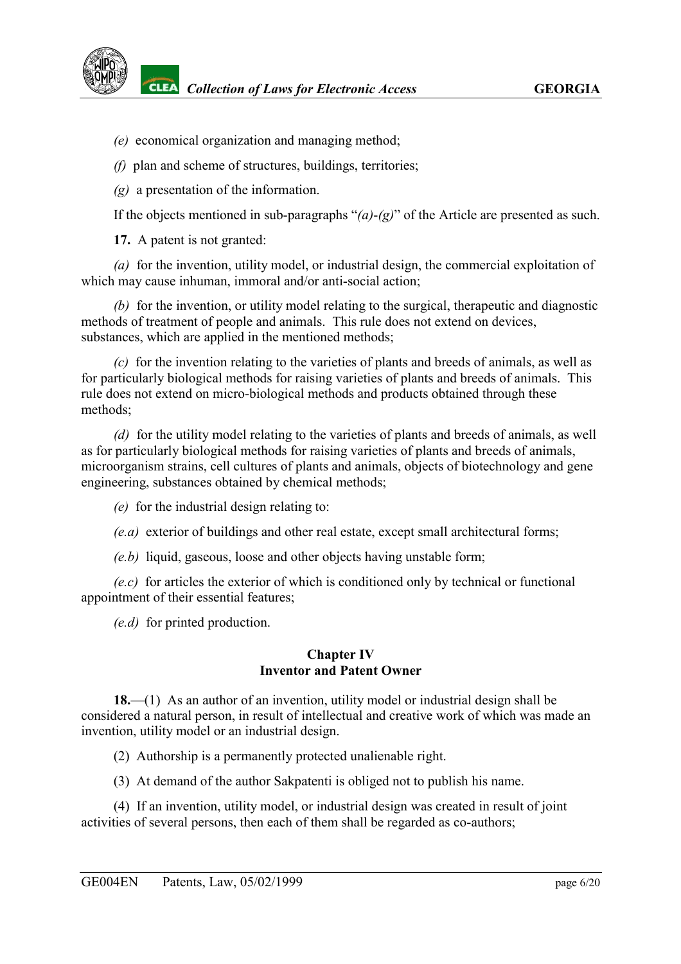- *(e)* economical organization and managing method;
- *(f)* plan and scheme of structures, buildings, territories;
- *(g)* a presentation of the information.

If the objects mentioned in sub-paragraphs "*(a)*-*(g)*" of the Article are presented as such.

**17.** A patent is not granted:

*(a)* for the invention, utility model, or industrial design, the commercial exploitation of which may cause inhuman, immoral and/or anti-social action;

*(b)* for the invention, or utility model relating to the surgical, therapeutic and diagnostic methods of treatment of people and animals. This rule does not extend on devices, substances, which are applied in the mentioned methods;

*(c)* for the invention relating to the varieties of plants and breeds of animals, as well as for particularly biological methods for raising varieties of plants and breeds of animals. This rule does not extend on micro-biological methods and products obtained through these methods;

*(d)* for the utility model relating to the varieties of plants and breeds of animals, as well as for particularly biological methods for raising varieties of plants and breeds of animals, microorganism strains, cell cultures of plants and animals, objects of biotechnology and gene engineering, substances obtained by chemical methods;

*(e)* for the industrial design relating to:

*(e.a)* exterior of buildings and other real estate, except small architectural forms;

*(e.b)* liquid, gaseous, loose and other objects having unstable form;

*(e.c)* for articles the exterior of which is conditioned only by technical or functional appointment of their essential features;

*(e.d)* for printed production.

#### **Chapter IV Inventor and Patent Owner**

<span id="page-5-0"></span>**18.**—(1) As an author of an invention, utility model or industrial design shall be considered a natural person, in result of intellectual and creative work of which was made an invention, utility model or an industrial design.

(2) Authorship is a permanently protected unalienable right.

(3) At demand of the author Sakpatenti is obliged not to publish his name.

(4) If an invention, utility model, or industrial design was created in result of joint activities of several persons, then each of them shall be regarded as co-authors;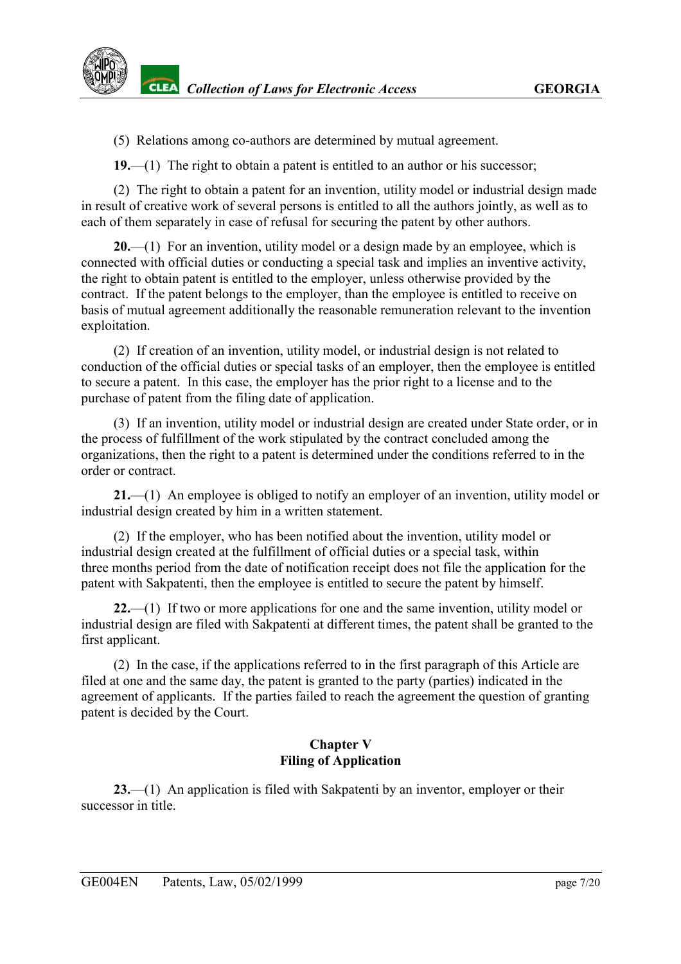(5) Relations among co-authors are determined by mutual agreement.

**19.**—(1) The right to obtain a patent is entitled to an author or his successor;

(2) The right to obtain a patent for an invention, utility model or industrial design made in result of creative work of several persons is entitled to all the authors jointly, as well as to each of them separately in case of refusal for securing the patent by other authors.

**20.**—(1) For an invention, utility model or a design made by an employee, which is connected with official duties or conducting a special task and implies an inventive activity, the right to obtain patent is entitled to the employer, unless otherwise provided by the contract. If the patent belongs to the employer, than the employee is entitled to receive on basis of mutual agreement additionally the reasonable remuneration relevant to the invention exploitation.

(2) If creation of an invention, utility model, or industrial design is not related to conduction of the official duties or special tasks of an employer, then the employee is entitled to secure a patent. In this case, the employer has the prior right to a license and to the purchase of patent from the filing date of application.

(3) If an invention, utility model or industrial design are created under State order, or in the process of fulfillment of the work stipulated by the contract concluded among the organizations, then the right to a patent is determined under the conditions referred to in the order or contract.

**21.**—(1) An employee is obliged to notify an employer of an invention, utility model or industrial design created by him in a written statement.

(2) If the employer, who has been notified about the invention, utility model or industrial design created at the fulfillment of official duties or a special task, within three months period from the date of notification receipt does not file the application for the patent with Sakpatenti, then the employee is entitled to secure the patent by himself.

**22.**—(1) If two or more applications for one and the same invention, utility model or industrial design are filed with Sakpatenti at different times, the patent shall be granted to the first applicant.

(2) In the case, if the applications referred to in the first paragraph of this Article are filed at one and the same day, the patent is granted to the party (parties) indicated in the agreement of applicants. If the parties failed to reach the agreement the question of granting patent is decided by the Court.

## **Chapter V Filing of Application**

<span id="page-6-0"></span>**23.**—(1) An application is filed with Sakpatenti by an inventor, employer or their successor in title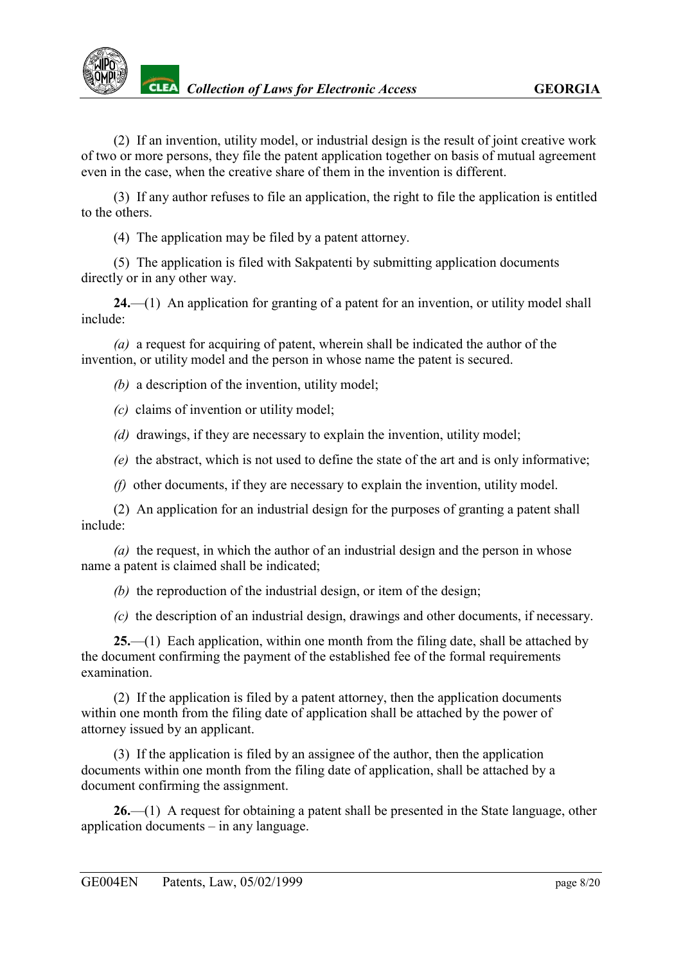

(2) If an invention, utility model, or industrial design is the result of joint creative work of two or more persons, they file the patent application together on basis of mutual agreement even in the case, when the creative share of them in the invention is different.

(3) If any author refuses to file an application, the right to file the application is entitled to the others.

(4) The application may be filed by a patent attorney.

(5) The application is filed with Sakpatenti by submitting application documents directly or in any other way.

**24.**—(1) An application for granting of a patent for an invention, or utility model shall include:

*(a)* a request for acquiring of patent, wherein shall be indicated the author of the invention, or utility model and the person in whose name the patent is secured.

*(b)* a description of the invention, utility model;

- *(c)* claims of invention or utility model;
- *(d)* drawings, if they are necessary to explain the invention, utility model;
- *(e)* the abstract, which is not used to define the state of the art and is only informative;
- *(f)* other documents, if they are necessary to explain the invention, utility model.

(2) An application for an industrial design for the purposes of granting a patent shall include:

*(a)* the request, in which the author of an industrial design and the person in whose name a patent is claimed shall be indicated;

*(b)* the reproduction of the industrial design, or item of the design;

*(c)* the description of an industrial design, drawings and other documents, if necessary.

**25.**—(1) Each application, within one month from the filing date, shall be attached by the document confirming the payment of the established fee of the formal requirements examination.

(2) If the application is filed by a patent attorney, then the application documents within one month from the filing date of application shall be attached by the power of attorney issued by an applicant.

(3) If the application is filed by an assignee of the author, then the application documents within one month from the filing date of application, shall be attached by a document confirming the assignment.

**26.**—(1) A request for obtaining a patent shall be presented in the State language, other application documents – in any language.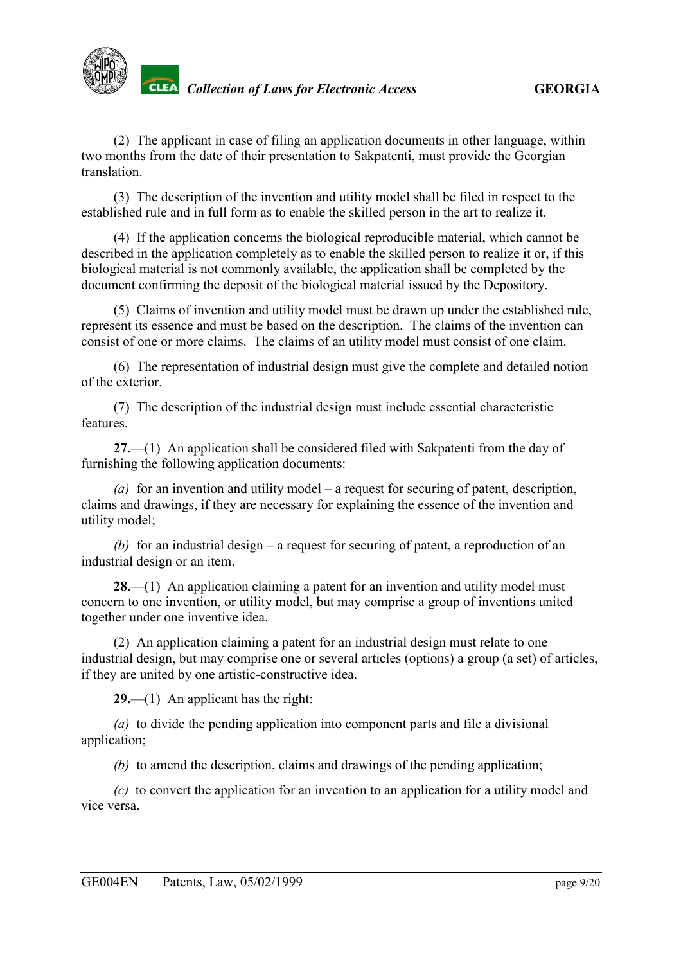(2) The applicant in case of filing an application documents in other language, within two months from the date of their presentation to Sakpatenti, must provide the Georgian translation.

(3) The description of the invention and utility model shall be filed in respect to the established rule and in full form as to enable the skilled person in the art to realize it.

(4) If the application concerns the biological reproducible material, which cannot be described in the application completely as to enable the skilled person to realize it or, if this biological material is not commonly available, the application shall be completed by the document confirming the deposit of the biological material issued by the Depository.

(5) Claims of invention and utility model must be drawn up under the established rule, represent its essence and must be based on the description. The claims of the invention can consist of one or more claims. The claims of an utility model must consist of one claim.

(6) The representation of industrial design must give the complete and detailed notion of the exterior.

(7) The description of the industrial design must include essential characteristic features.

**27.**—(1) An application shall be considered filed with Sakpatenti from the day of furnishing the following application documents:

*(a)* for an invention and utility model – a request for securing of patent, description, claims and drawings, if they are necessary for explaining the essence of the invention and utility model;

*(b)* for an industrial design – a request for securing of patent, a reproduction of an industrial design or an item.

**28.**—(1) An application claiming a patent for an invention and utility model must concern to one invention, or utility model, but may comprise a group of inventions united together under one inventive idea.

(2) An application claiming a patent for an industrial design must relate to one industrial design, but may comprise one or several articles (options) a group (a set) of articles, if they are united by one artistic-constructive idea.

**29.**—(1) An applicant has the right:

*(a)* to divide the pending application into component parts and file a divisional application;

*(b)* to amend the description, claims and drawings of the pending application;

*(c)* to convert the application for an invention to an application for a utility model and vice versa.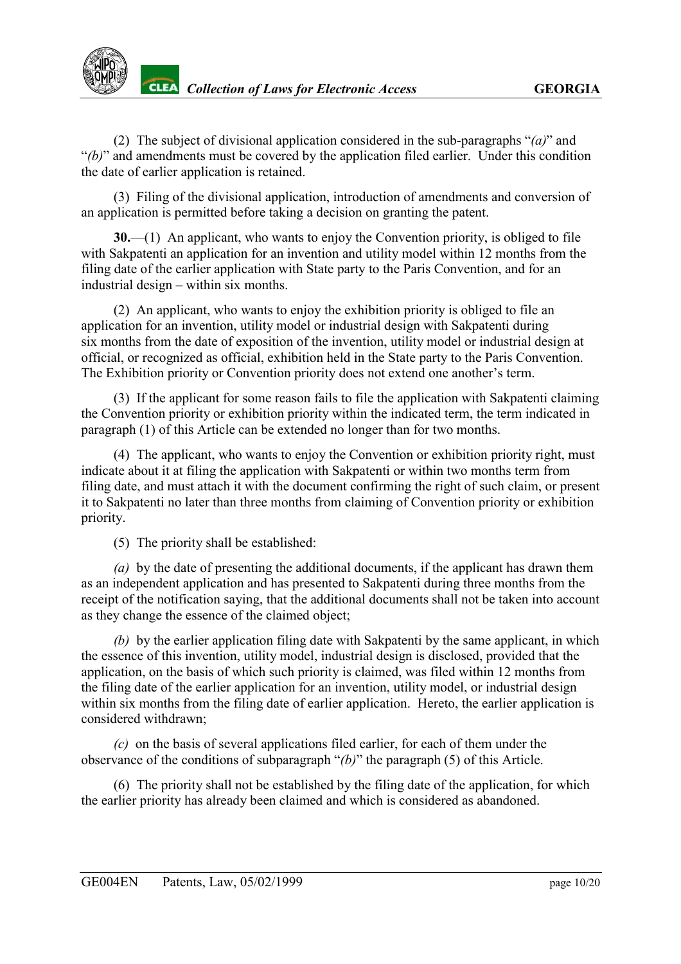(2) The subject of divisional application considered in the sub-paragraphs "*(a)*" and "*(b)*" and amendments must be covered by the application filed earlier. Under this condition the date of earlier application is retained.

(3) Filing of the divisional application, introduction of amendments and conversion of an application is permitted before taking a decision on granting the patent.

**30.**—(1) An applicant, who wants to enjoy the Convention priority, is obliged to file with Sakpatenti an application for an invention and utility model within 12 months from the filing date of the earlier application with State party to the Paris Convention, and for an industrial design – within six months.

(2) An applicant, who wants to enjoy the exhibition priority is obliged to file an application for an invention, utility model or industrial design with Sakpatenti during six months from the date of exposition of the invention, utility model or industrial design at official, or recognized as official, exhibition held in the State party to the Paris Convention. The Exhibition priority or Convention priority does not extend one another's term.

(3) If the applicant for some reason fails to file the application with Sakpatenti claiming the Convention priority or exhibition priority within the indicated term, the term indicated in paragraph (1) of this Article can be extended no longer than for two months.

(4) The applicant, who wants to enjoy the Convention or exhibition priority right, must indicate about it at filing the application with Sakpatenti or within two months term from filing date, and must attach it with the document confirming the right of such claim, or present it to Sakpatenti no later than three months from claiming of Convention priority or exhibition priority.

(5) The priority shall be established:

*(a)* by the date of presenting the additional documents, if the applicant has drawn them as an independent application and has presented to Sakpatenti during three months from the receipt of the notification saying, that the additional documents shall not be taken into account as they change the essence of the claimed object;

*(b)* by the earlier application filing date with Sakpatenti by the same applicant, in which the essence of this invention, utility model, industrial design is disclosed, provided that the application, on the basis of which such priority is claimed, was filed within 12 months from the filing date of the earlier application for an invention, utility model, or industrial design within six months from the filing date of earlier application. Hereto, the earlier application is considered withdrawn;

*(c)* on the basis of several applications filed earlier, for each of them under the observance of the conditions of subparagraph "*(b)*" the paragraph (5) of this Article.

(6) The priority shall not be established by the filing date of the application, for which the earlier priority has already been claimed and which is considered as abandoned.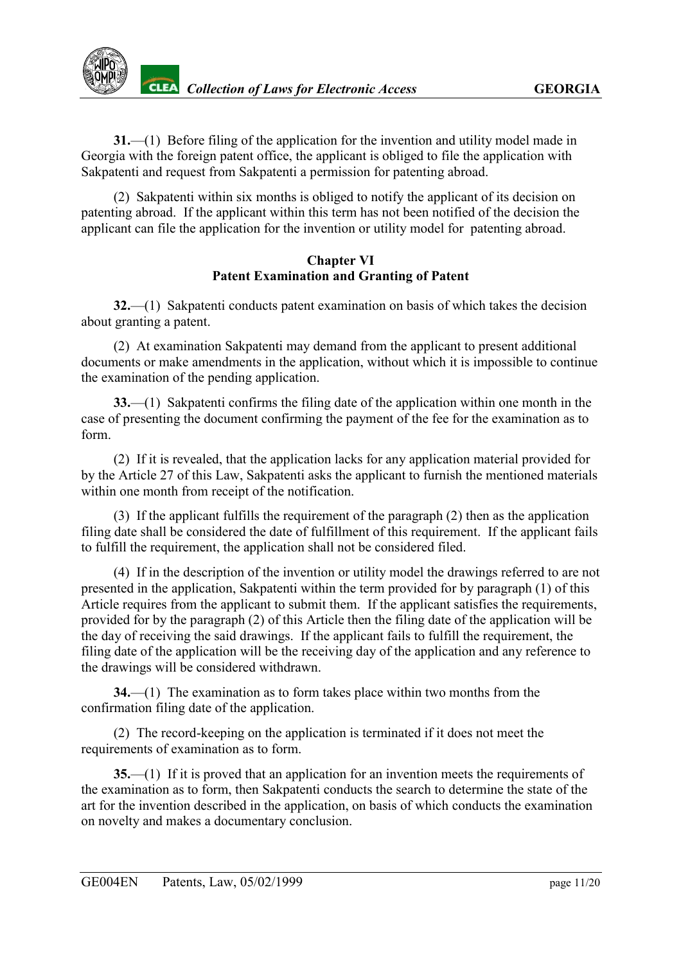**31.**—(1) Before filing of the application for the invention and utility model made in Georgia with the foreign patent office, the applicant is obliged to file the application with Sakpatenti and request from Sakpatenti a permission for patenting abroad.

(2) Sakpatenti within six months is obliged to notify the applicant of its decision on patenting abroad. If the applicant within this term has not been notified of the decision the applicant can file the application for the invention or utility model for patenting abroad.

## **Chapter VI Patent Examination and Granting of Patent**

<span id="page-10-0"></span>**32.**—(1) Sakpatenti conducts patent examination on basis of which takes the decision about granting a patent.

(2) At examination Sakpatenti may demand from the applicant to present additional documents or make amendments in the application, without which it is impossible to continue the examination of the pending application.

**33.**—(1) Sakpatenti confirms the filing date of the application within one month in the case of presenting the document confirming the payment of the fee for the examination as to form.

(2) If it is revealed, that the application lacks for any application material provided for by the Article 27 of this Law, Sakpatenti asks the applicant to furnish the mentioned materials within one month from receipt of the notification.

(3) If the applicant fulfills the requirement of the paragraph (2) then as the application filing date shall be considered the date of fulfillment of this requirement. If the applicant fails to fulfill the requirement, the application shall not be considered filed.

(4) If in the description of the invention or utility model the drawings referred to are not presented in the application, Sakpatenti within the term provided for by paragraph (1) of this Article requires from the applicant to submit them. If the applicant satisfies the requirements, provided for by the paragraph (2) of this Article then the filing date of the application will be the day of receiving the said drawings. If the applicant fails to fulfill the requirement, the filing date of the application will be the receiving day of the application and any reference to the drawings will be considered withdrawn.

**34.**—(1) The examination as to form takes place within two months from the confirmation filing date of the application.

(2) The record-keeping on the application is terminated if it does not meet the requirements of examination as to form.

**35.**—(1) If it is proved that an application for an invention meets the requirements of the examination as to form, then Sakpatenti conducts the search to determine the state of the art for the invention described in the application, on basis of which conducts the examination on novelty and makes a documentary conclusion.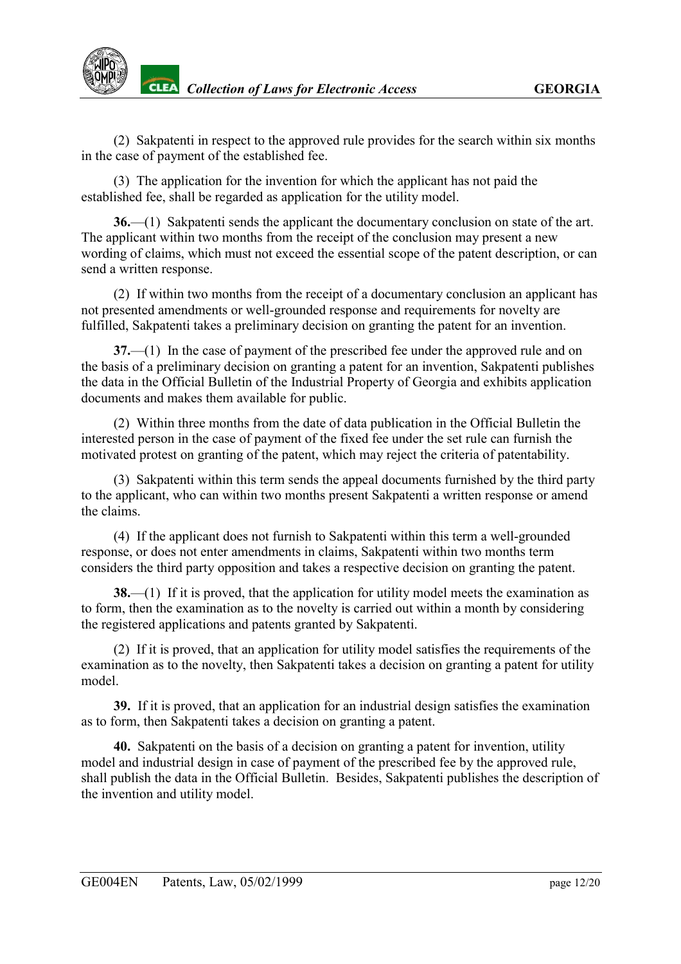

**CLEA** Collection of Laws for Electronic Access **GEORGIA** 

(2) Sakpatenti in respect to the approved rule provides for the search within six months in the case of payment of the established fee.

(3) The application for the invention for which the applicant has not paid the established fee, shall be regarded as application for the utility model.

**36.**—(1) Sakpatenti sends the applicant the documentary conclusion on state of the art. The applicant within two months from the receipt of the conclusion may present a new wording of claims, which must not exceed the essential scope of the patent description, or can send a written response.

(2) If within two months from the receipt of a documentary conclusion an applicant has not presented amendments or well-grounded response and requirements for novelty are fulfilled, Sakpatenti takes a preliminary decision on granting the patent for an invention.

**37.**—(1) In the case of payment of the prescribed fee under the approved rule and on the basis of a preliminary decision on granting a patent for an invention, Sakpatenti publishes the data in the Official Bulletin of the Industrial Property of Georgia and exhibits application documents and makes them available for public.

(2) Within three months from the date of data publication in the Official Bulletin the interested person in the case of payment of the fixed fee under the set rule can furnish the motivated protest on granting of the patent, which may reject the criteria of patentability.

(3) Sakpatenti within this term sends the appeal documents furnished by the third party to the applicant, who can within two months present Sakpatenti a written response or amend the claims.

(4) If the applicant does not furnish to Sakpatenti within this term a well-grounded response, or does not enter amendments in claims, Sakpatenti within two months term considers the third party opposition and takes a respective decision on granting the patent.

**38.**—(1) If it is proved, that the application for utility model meets the examination as to form, then the examination as to the novelty is carried out within a month by considering the registered applications and patents granted by Sakpatenti.

(2) If it is proved, that an application for utility model satisfies the requirements of the examination as to the novelty, then Sakpatenti takes a decision on granting a patent for utility model.

**39.** If it is proved, that an application for an industrial design satisfies the examination as to form, then Sakpatenti takes a decision on granting a patent.

**40.** Sakpatenti on the basis of a decision on granting a patent for invention, utility model and industrial design in case of payment of the prescribed fee by the approved rule, shall publish the data in the Official Bulletin. Besides, Sakpatenti publishes the description of the invention and utility model.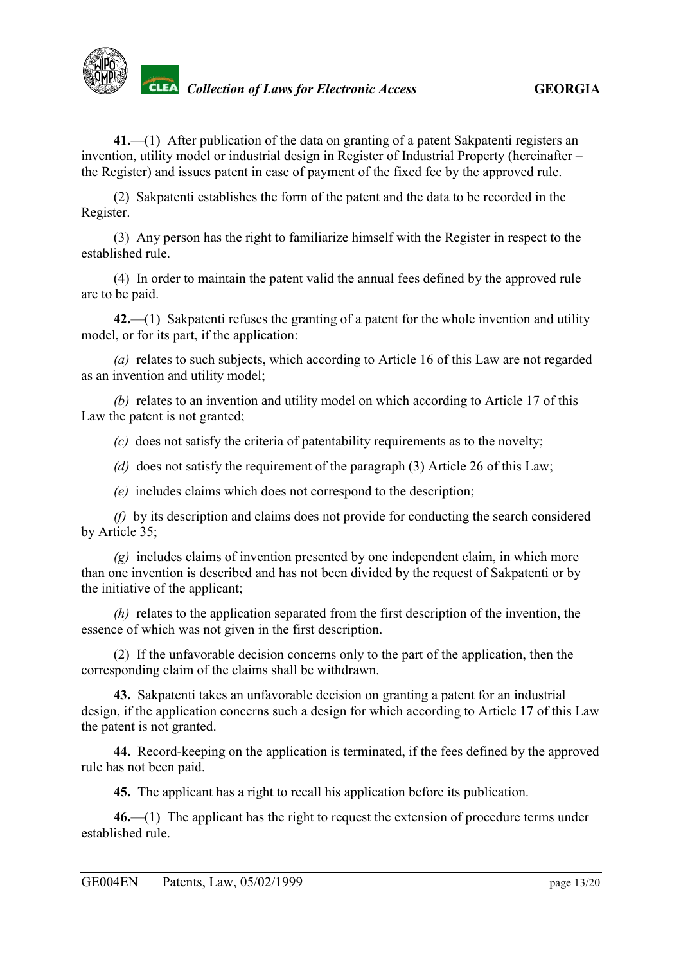

**41.**—(1) After publication of the data on granting of a patent Sakpatenti registers an invention, utility model or industrial design in Register of Industrial Property (hereinafter – the Register) and issues patent in case of payment of the fixed fee by the approved rule.

(2) Sakpatenti establishes the form of the patent and the data to be recorded in the Register.

(3) Any person has the right to familiarize himself with the Register in respect to the established rule.

(4) In order to maintain the patent valid the annual fees defined by the approved rule are to be paid.

**42.**—(1) Sakpatenti refuses the granting of a patent for the whole invention and utility model, or for its part, if the application:

*(a)* relates to such subjects, which according to Article 16 of this Law are not regarded as an invention and utility model;

*(b)* relates to an invention and utility model on which according to Article 17 of this Law the patent is not granted;

*(c)* does not satisfy the criteria of patentability requirements as to the novelty;

*(d)* does not satisfy the requirement of the paragraph (3) Article 26 of this Law;

*(e)* includes claims which does not correspond to the description;

*(f)* by its description and claims does not provide for conducting the search considered by Article 35;

*(g)* includes claims of invention presented by one independent claim, in which more than one invention is described and has not been divided by the request of Sakpatenti or by the initiative of the applicant;

*(h)* relates to the application separated from the first description of the invention, the essence of which was not given in the first description.

(2) If the unfavorable decision concerns only to the part of the application, then the corresponding claim of the claims shall be withdrawn.

**43.** Sakpatenti takes an unfavorable decision on granting a patent for an industrial design, if the application concerns such a design for which according to Article 17 of this Law the patent is not granted.

**44.** Record-keeping on the application is terminated, if the fees defined by the approved rule has not been paid.

**45.** The applicant has a right to recall his application before its publication.

**46.**—(1) The applicant has the right to request the extension of procedure terms under established rule.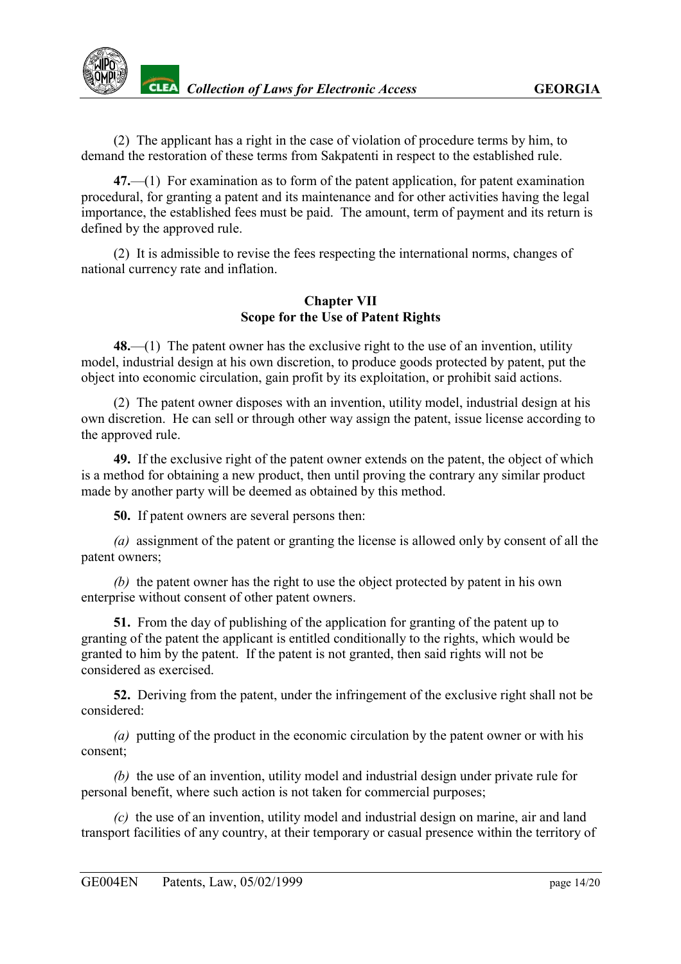(2) The applicant has a right in the case of violation of procedure terms by him, to demand the restoration of these terms from Sakpatenti in respect to the established rule.

**47.**—(1) For examination as to form of the patent application, for patent examination procedural, for granting a patent and its maintenance and for other activities having the legal importance, the established fees must be paid. The amount, term of payment and its return is defined by the approved rule.

(2) It is admissible to revise the fees respecting the international norms, changes of national currency rate and inflation.

## **Chapter VII Scope for the Use of Patent Rights**

<span id="page-13-0"></span>**48.**—(1) The patent owner has the exclusive right to the use of an invention, utility model, industrial design at his own discretion, to produce goods protected by patent, put the object into economic circulation, gain profit by its exploitation, or prohibit said actions.

(2) The patent owner disposes with an invention, utility model, industrial design at his own discretion. He can sell or through other way assign the patent, issue license according to the approved rule.

**49.** If the exclusive right of the patent owner extends on the patent, the object of which is a method for obtaining a new product, then until proving the contrary any similar product made by another party will be deemed as obtained by this method.

**50.** If patent owners are several persons then:

*(a)* assignment of the patent or granting the license is allowed only by consent of all the patent owners;

*(b)* the patent owner has the right to use the object protected by patent in his own enterprise without consent of other patent owners.

**51.** From the day of publishing of the application for granting of the patent up to granting of the patent the applicant is entitled conditionally to the rights, which would be granted to him by the patent. If the patent is not granted, then said rights will not be considered as exercised.

**52.** Deriving from the patent, under the infringement of the exclusive right shall not be considered:

*(a)* putting of the product in the economic circulation by the patent owner or with his consent;

*(b)* the use of an invention, utility model and industrial design under private rule for personal benefit, where such action is not taken for commercial purposes;

*(c)* the use of an invention, utility model and industrial design on marine, air and land transport facilities of any country, at their temporary or casual presence within the territory of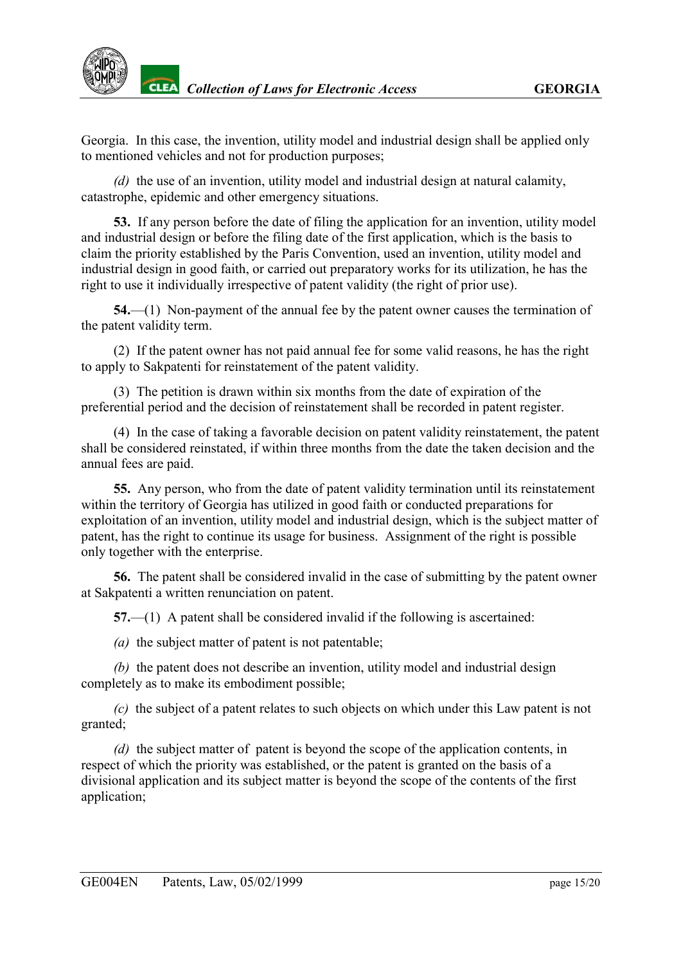Georgia. In this case, the invention, utility model and industrial design shall be applied only to mentioned vehicles and not for production purposes;

*(d)* the use of an invention, utility model and industrial design at natural calamity, catastrophe, epidemic and other emergency situations.

**53.** If any person before the date of filing the application for an invention, utility model and industrial design or before the filing date of the first application, which is the basis to claim the priority established by the Paris Convention, used an invention, utility model and industrial design in good faith, or carried out preparatory works for its utilization, he has the right to use it individually irrespective of patent validity (the right of prior use).

**54.**—(1) Non-payment of the annual fee by the patent owner causes the termination of the patent validity term.

(2) If the patent owner has not paid annual fee for some valid reasons, he has the right to apply to Sakpatenti for reinstatement of the patent validity.

(3) The petition is drawn within six months from the date of expiration of the preferential period and the decision of reinstatement shall be recorded in patent register.

(4) In the case of taking a favorable decision on patent validity reinstatement, the patent shall be considered reinstated, if within three months from the date the taken decision and the annual fees are paid.

**55.** Any person, who from the date of patent validity termination until its reinstatement within the territory of Georgia has utilized in good faith or conducted preparations for exploitation of an invention, utility model and industrial design, which is the subject matter of patent, has the right to continue its usage for business. Assignment of the right is possible only together with the enterprise.

**56.** The patent shall be considered invalid in the case of submitting by the patent owner at Sakpatenti a written renunciation on patent.

**57.**—(1) A patent shall be considered invalid if the following is ascertained:

*(a)* the subject matter of patent is not patentable;

*(b)* the patent does not describe an invention, utility model and industrial design completely as to make its embodiment possible;

*(c)* the subject of a patent relates to such objects on which under this Law patent is not granted;

*(d)* the subject matter of patent is beyond the scope of the application contents, in respect of which the priority was established, or the patent is granted on the basis of a divisional application and its subject matter is beyond the scope of the contents of the first application;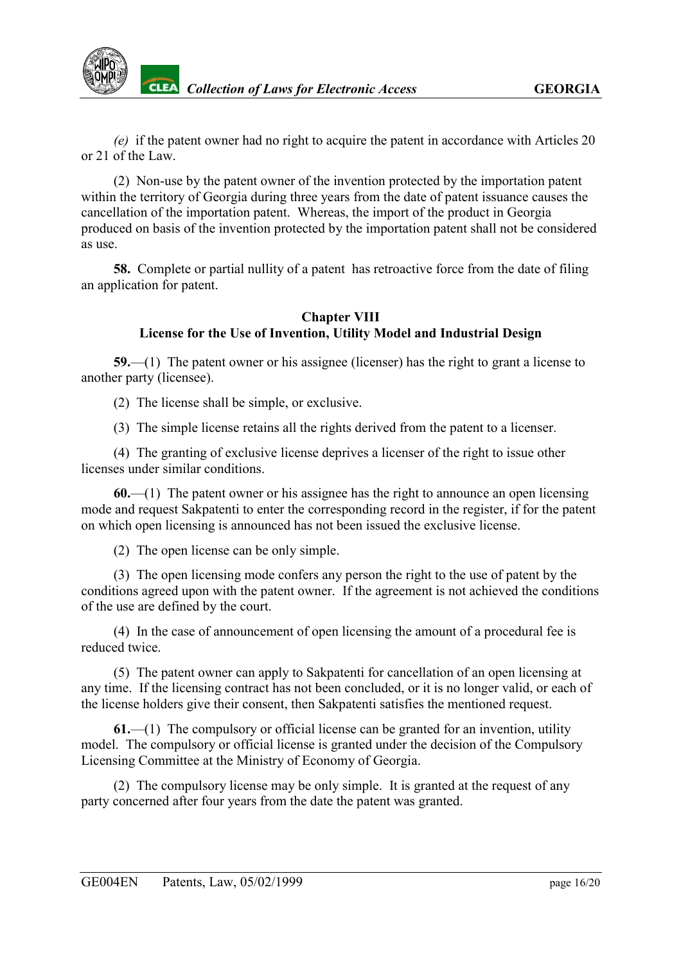

*(e)* if the patent owner had no right to acquire the patent in accordance with Articles 20 or 21 of the Law.

(2) Non-use by the patent owner of the invention protected by the importation patent within the territory of Georgia during three years from the date of patent issuance causes the cancellation of the importation patent. Whereas, the import of the product in Georgia produced on basis of the invention protected by the importation patent shall not be considered as use.

**58.** Complete or partial nullity of a patent has retroactive force from the date of filing an application for patent.

#### **Chapter VIII License for the Use of Invention, Utility Model and Industrial Design**

<span id="page-15-0"></span>**59.**—(1) The patent owner or his assignee (licenser) has the right to grant a license to another party (licensee).

(2) The license shall be simple, or exclusive.

(3) The simple license retains all the rights derived from the patent to a licenser.

(4) The granting of exclusive license deprives a licenser of the right to issue other licenses under similar conditions.

**60.**—(1) The patent owner or his assignee has the right to announce an open licensing mode and request Sakpatenti to enter the corresponding record in the register, if for the patent on which open licensing is announced has not been issued the exclusive license.

(2) The open license can be only simple.

(3) The open licensing mode confers any person the right to the use of patent by the conditions agreed upon with the patent owner. If the agreement is not achieved the conditions of the use are defined by the court.

(4) In the case of announcement of open licensing the amount of a procedural fee is reduced twice.

(5) The patent owner can apply to Sakpatenti for cancellation of an open licensing at any time. If the licensing contract has not been concluded, or it is no longer valid, or each of the license holders give their consent, then Sakpatenti satisfies the mentioned request.

**61.**—(1) The compulsory or official license can be granted for an invention, utility model. The compulsory or official license is granted under the decision of the Compulsory Licensing Committee at the Ministry of Economy of Georgia.

(2) The compulsory license may be only simple. It is granted at the request of any party concerned after four years from the date the patent was granted.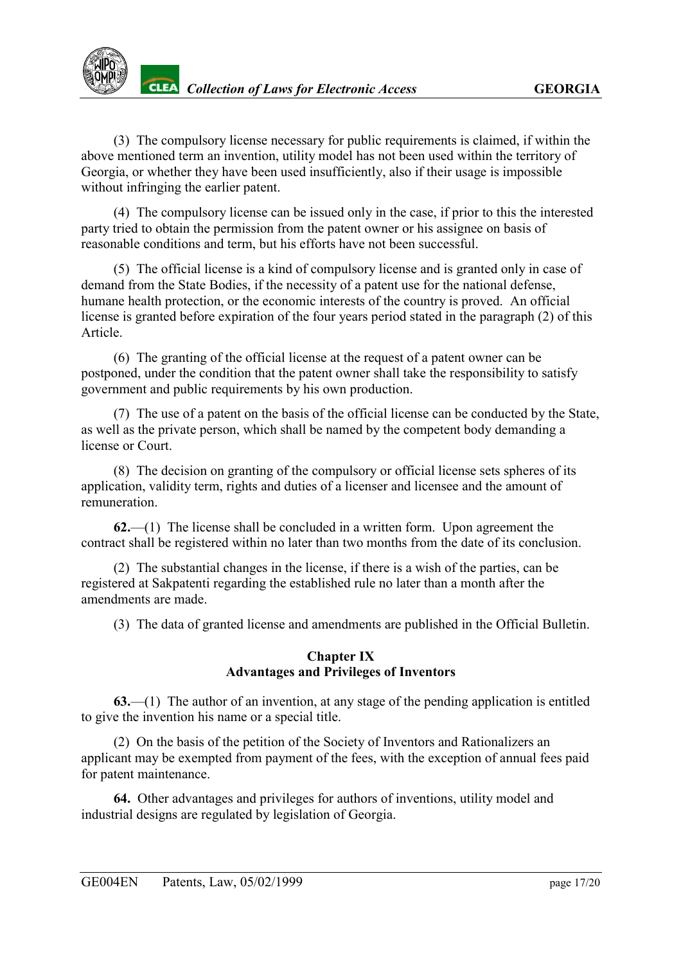(3) The compulsory license necessary for public requirements is claimed, if within the above mentioned term an invention, utility model has not been used within the territory of Georgia, or whether they have been used insufficiently, also if their usage is impossible without infringing the earlier patent.

(4) The compulsory license can be issued only in the case, if prior to this the interested party tried to obtain the permission from the patent owner or his assignee on basis of reasonable conditions and term, but his efforts have not been successful.

(5) The official license is a kind of compulsory license and is granted only in case of demand from the State Bodies, if the necessity of a patent use for the national defense, humane health protection, or the economic interests of the country is proved. An official license is granted before expiration of the four years period stated in the paragraph (2) of this Article.

(6) The granting of the official license at the request of a patent owner can be postponed, under the condition that the patent owner shall take the responsibility to satisfy government and public requirements by his own production.

(7) The use of a patent on the basis of the official license can be conducted by the State, as well as the private person, which shall be named by the competent body demanding a license or Court.

(8) The decision on granting of the compulsory or official license sets spheres of its application, validity term, rights and duties of a licenser and licensee and the amount of remuneration.

**62.**—(1) The license shall be concluded in a written form. Upon agreement the contract shall be registered within no later than two months from the date of its conclusion.

(2) The substantial changes in the license, if there is a wish of the parties, can be registered at Sakpatenti regarding the established rule no later than a month after the amendments are made.

(3) The data of granted license and amendments are published in the Official Bulletin.

## **Chapter IX Advantages and Privileges of Inventors**

<span id="page-16-0"></span>**63.**—(1) The author of an invention, at any stage of the pending application is entitled to give the invention his name or a special title.

(2) On the basis of the petition of the Society of Inventors and Rationalizers an applicant may be exempted from payment of the fees, with the exception of annual fees paid for patent maintenance.

**64.** Other advantages and privileges for authors of inventions, utility model and industrial designs are regulated by legislation of Georgia.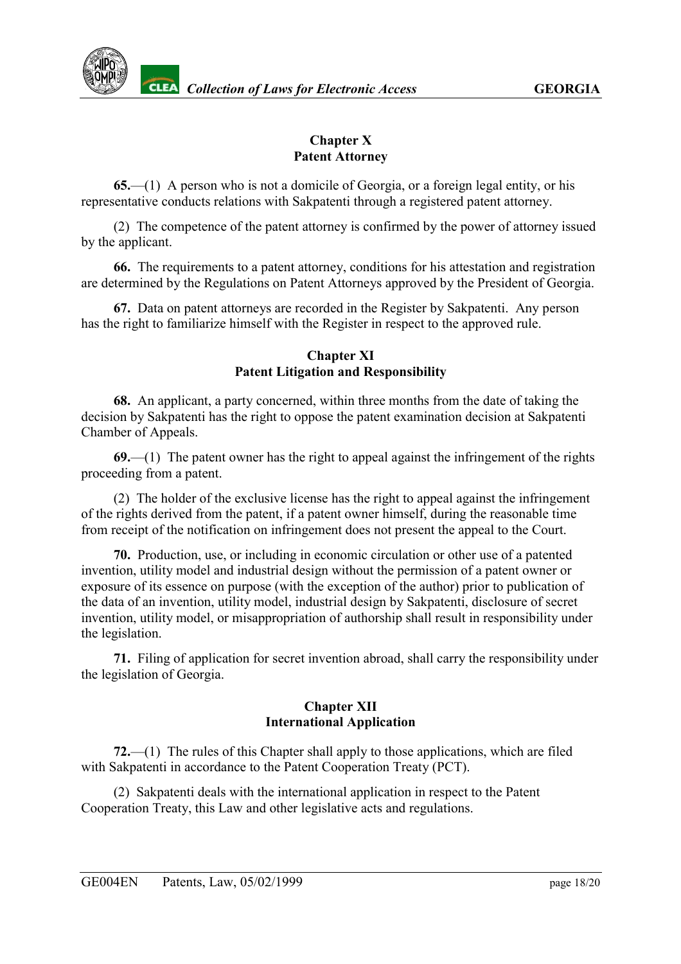## **Chapter X Patent Attorney**

<span id="page-17-0"></span>**65.**—(1) A person who is not a domicile of Georgia, or a foreign legal entity, or his representative conducts relations with Sakpatenti through a registered patent attorney.

(2) The competence of the patent attorney is confirmed by the power of attorney issued by the applicant.

**66.** The requirements to a patent attorney, conditions for his attestation and registration are determined by the Regulations on Patent Attorneys approved by the President of Georgia.

**67.** Data on patent attorneys are recorded in the Register by Sakpatenti. Any person has the right to familiarize himself with the Register in respect to the approved rule.

#### **Chapter XI Patent Litigation and Responsibility**

<span id="page-17-1"></span>**68.** An applicant, a party concerned, within three months from the date of taking the decision by Sakpatenti has the right to oppose the patent examination decision at Sakpatenti Chamber of Appeals.

**69.**—(1) The patent owner has the right to appeal against the infringement of the rights proceeding from a patent.

(2) The holder of the exclusive license has the right to appeal against the infringement of the rights derived from the patent, if a patent owner himself, during the reasonable time from receipt of the notification on infringement does not present the appeal to the Court.

**70.** Production, use, or including in economic circulation or other use of a patented invention, utility model and industrial design without the permission of a patent owner or exposure of its essence on purpose (with the exception of the author) prior to publication of the data of an invention, utility model, industrial design by Sakpatenti, disclosure of secret invention, utility model, or misappropriation of authorship shall result in responsibility under the legislation.

**71.** Filing of application for secret invention abroad, shall carry the responsibility under the legislation of Georgia.

## **Chapter XII International Application**

<span id="page-17-2"></span>**72.**—(1) The rules of this Chapter shall apply to those applications, which are filed with Sakpatenti in accordance to the Patent Cooperation Treaty (PCT).

(2) Sakpatenti deals with the international application in respect to the Patent Cooperation Treaty, this Law and other legislative acts and regulations.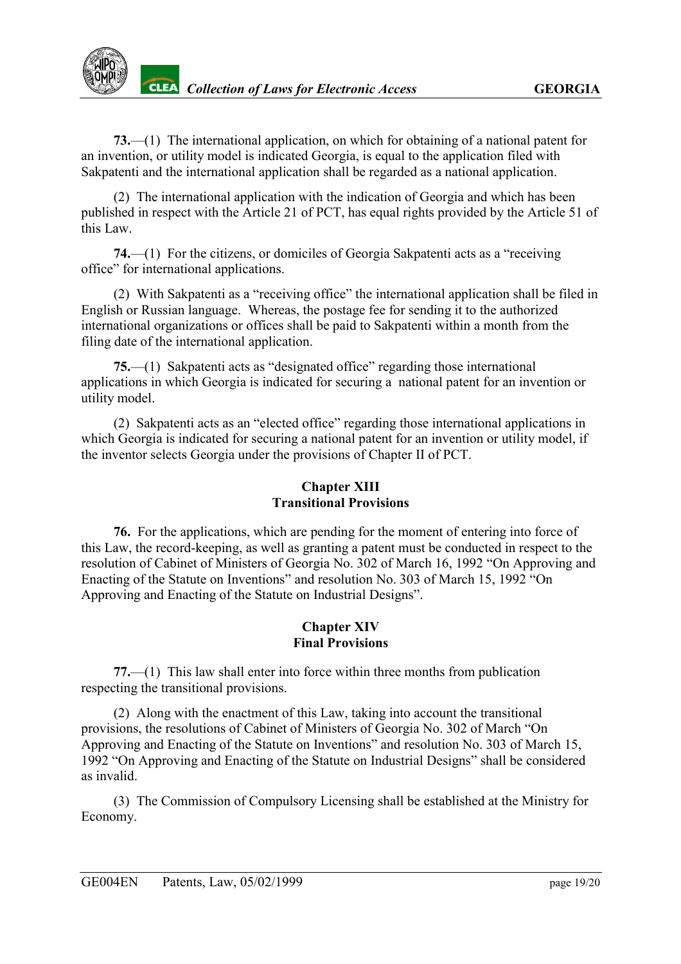

**73.**—(1) The international application, on which for obtaining of a national patent for an invention, or utility model is indicated Georgia, is equal to the application filed with Sakpatenti and the international application shall be regarded as a national application.

(2) The international application with the indication of Georgia and which has been published in respect with the Article 21 of PCT, has equal rights provided by the Article 51 of this Law.

**74.**—(1) For the citizens, or domiciles of Georgia Sakpatenti acts as a "receiving office" for international applications.

(2) With Sakpatenti as a "receiving office" the international application shall be filed in English or Russian language. Whereas, the postage fee for sending it to the authorized international organizations or offices shall be paid to Sakpatenti within a month from the filing date of the international application.

**75.**—(1) Sakpatenti acts as "designated office" regarding those international applications in which Georgia is indicated for securing a national patent for an invention or utility model.

(2) Sakpatenti acts as an "elected office" regarding those international applications in which Georgia is indicated for securing a national patent for an invention or utility model, if the inventor selects Georgia under the provisions of Chapter II of PCT.

#### **Chapter XIII Transitional Provisions**

<span id="page-18-0"></span>**76.** For the applications, which are pending for the moment of entering into force of this Law, the record-keeping, as well as granting a patent must be conducted in respect to the resolution of Cabinet of Ministers of Georgia No. 302 of March 16, 1992 "On Approving and Enacting of the Statute on Inventions" and resolution No. 303 of March 15, 1992 "On Approving and Enacting of the Statute on Industrial Designs".

#### **Chapter XIV Final Provisions**

<span id="page-18-1"></span>**77.**—(1) This law shall enter into force within three months from publication respecting the transitional provisions.

(2) Along with the enactment of this Law, taking into account the transitional provisions, the resolutions of Cabinet of Ministers of Georgia No. 302 of March "On Approving and Enacting of the Statute on Inventions" and resolution No. 303 of March 15, 1992 "On Approving and Enacting of the Statute on Industrial Designs" shall be considered as invalid.

(3) The Commission of Compulsory Licensing shall be established at the Ministry for Economy.